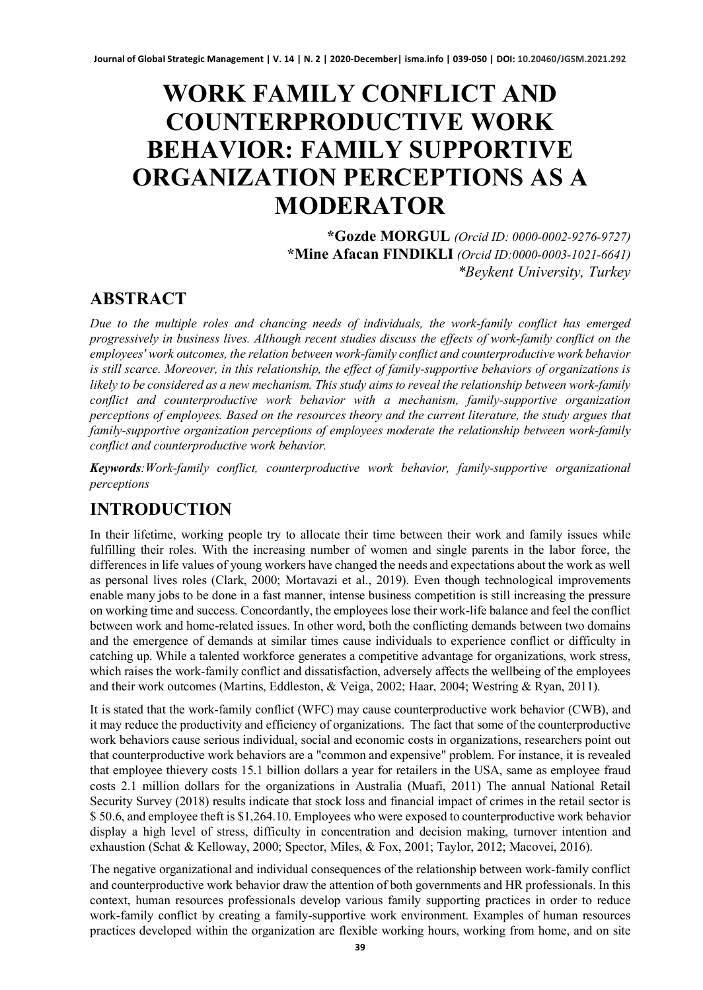# **WORK FAMILY CONFLICT AND COUNTERPRODUCTIVE WORK BEHAVIOR: FAMILY SUPPORTIVE ORGANIZATION PERCEPTIONS AS A MODERATOR**

**\*Gozde MORGUL** *(Orcid ID: 0000-0002-9276-9727)* **\*Mine Afacan FINDIKLI** *(Orcid ID:0000-0003-1021-6641) \*Beykent University, Turkey*

#### **ABSTRACT**

*Due to the multiple roles and chancing needs of individuals, the work-family conflict has emerged progressively in business lives. Although recent studies discuss the effects of work-family conflict on the employees' work outcomes, the relation between work-family conflict and counterproductive work behavior is still scarce. Moreover, in this relationship, the effect of family-supportive behaviors of organizations is likely to be considered as a new mechanism. This study aims to reveal the relationship between work-family conflict and counterproductive work behavior with a mechanism, family-supportive organization perceptions of employees. Based on the resources theory and the current literature, the study argues that family-supportive organization perceptions of employees moderate the relationship between work-family conflict and counterproductive work behavior.* 

*Keywords:Work-family conflict, counterproductive work behavior, family-supportive organizational perceptions* 

## **INTRODUCTION**

In their lifetime, working people try to allocate their time between their work and family issues while fulfilling their roles. With the increasing number of women and single parents in the labor force, the differences in life values of young workers have changed the needs and expectations about the work as well as personal lives roles (Clark, 2000; Mortavazi et al., 2019). Even though technological improvements enable many jobs to be done in a fast manner, intense business competition is still increasing the pressure on working time and success. Concordantly, the employees lose their work-life balance and feel the conflict between work and home-related issues. In other word, both the conflicting demands between two domains and the emergence of demands at similar times cause individuals to experience conflict or difficulty in catching up. While a talented workforce generates a competitive advantage for organizations, work stress, which raises the work-family conflict and dissatisfaction, adversely affects the wellbeing of the employees and their work outcomes (Martins, Eddleston, & Veiga, 2002; Haar, 2004; Westring & Ryan, 2011).

It is stated that the work-family conflict (WFC) may cause counterproductive work behavior (CWB), and it may reduce the productivity and efficiency of organizations. The fact that some of the counterproductive work behaviors cause serious individual, social and economic costs in organizations, researchers point out that counterproductive work behaviors are a "common and expensive" problem. For instance, it is revealed that employee thievery costs 15.1 billion dollars a year for retailers in the USA, same as employee fraud costs 2.1 million dollars for the organizations in Australia (Muafi, 2011) The annual National Retail Security Survey (2018) results indicate that stock loss and financial impact of crimes in the retail sector is \$ 50.6, and employee theft is \$1,264.10. Employees who were exposed to counterproductive work behavior display a high level of stress, difficulty in concentration and decision making, turnover intention and exhaustion (Schat & Kelloway, 2000; Spector, Miles, & Fox, 2001; Taylor, 2012; Macovei, 2016).

The negative organizational and individual consequences of the relationship between work-family conflict and counterproductive work behavior draw the attention of both governments and HR professionals. In this context, human resources professionals develop various family supporting practices in order to reduce work-family conflict by creating a family-supportive work environment. Examples of human resources practices developed within the organization are flexible working hours, working from home, and on site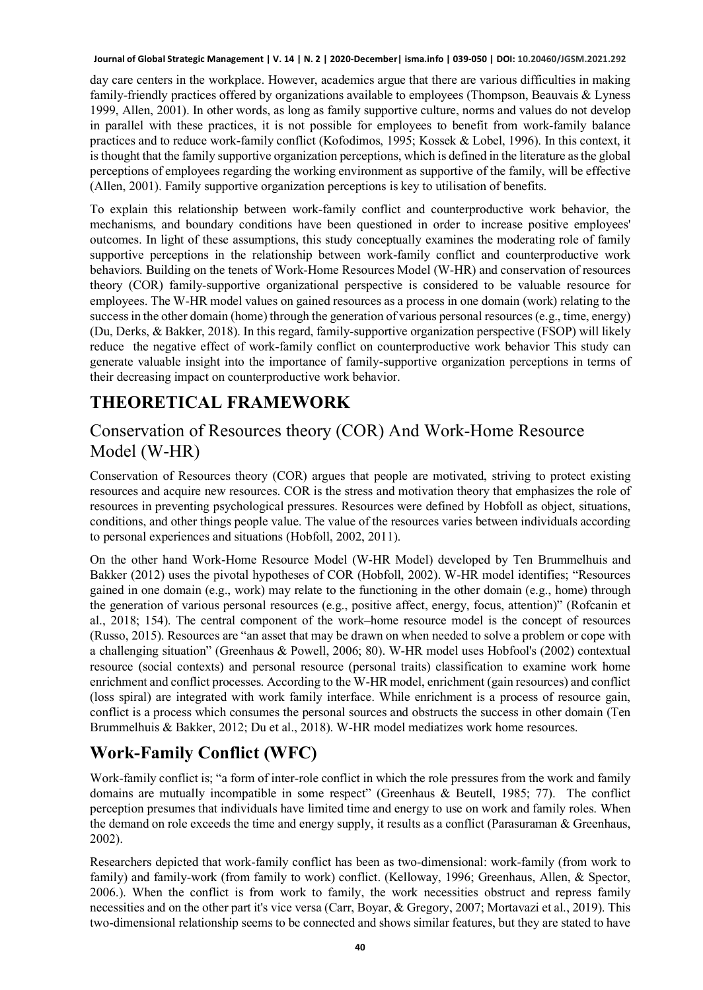day care centers in the workplace. However, academics argue that there are various difficulties in making family-friendly practices offered by organizations available to employees (Thompson, Beauvais & Lyness 1999, Allen, 2001). In other words, as long as family supportive culture, norms and values do not develop in parallel with these practices, it is not possible for employees to benefit from work-family balance practices and to reduce work-family conflict (Kofodimos, 1995; Kossek & Lobel, 1996). In this context, it is thought that the family supportive organization perceptions, which is defined in the literature as the global perceptions of employees regarding the working environment as supportive of the family, will be effective (Allen, 2001). Family supportive organization perceptions is key to utilisation of benefits.

To explain this relationship between work-family conflict and counterproductive work behavior, the mechanisms, and boundary conditions have been questioned in order to increase positive employees' outcomes. In light of these assumptions, this study conceptually examines the moderating role of family supportive perceptions in the relationship between work-family conflict and counterproductive work behaviors. Building on the tenets of Work-Home Resources Model (W-HR) and conservation of resources theory (COR) family-supportive organizational perspective is considered to be valuable resource for employees. The W-HR model values on gained resources as a process in one domain (work) relating to the success in the other domain (home) through the generation of various personal resources (e.g., time, energy) (Du, Derks, & Bakker, 2018). In this regard, family-supportive organization perspective (FSOP) will likely reduce the negative effect of work-family conflict on counterproductive work behavior This study can generate valuable insight into the importance of family-supportive organization perceptions in terms of their decreasing impact on counterproductive work behavior.

## **THEORETICAL FRAMEWORK**

#### Conservation of Resources theory (COR) And Work-Home Resource Model (W-HR)

Conservation of Resources theory (COR) argues that people are motivated, striving to protect existing resources and acquire new resources. COR is the stress and motivation theory that emphasizes the role of resources in preventing psychological pressures. Resources were defined by Hobfoll as object, situations, conditions, and other things people value. The value of the resources varies between individuals according to personal experiences and situations (Hobfoll, 2002, 2011).

On the other hand Work-Home Resource Model (W-HR Model) developed by Ten Brummelhuis and Bakker (2012) uses the pivotal hypotheses of COR (Hobfoll, 2002). W-HR model identifies; "Resources gained in one domain (e.g., work) may relate to the functioning in the other domain (e.g., home) through the generation of various personal resources (e.g., positive affect, energy, focus, attention)" (Rofcanin et al., 2018; 154). The central component of the work–home resource model is the concept of resources (Russo, 2015). Resources are "an asset that may be drawn on when needed to solve a problem or cope with a challenging situation" (Greenhaus & Powell, 2006; 80). W-HR model uses Hobfool's (2002) contextual resource (social contexts) and personal resource (personal traits) classification to examine work home enrichment and conflict processes. According to the W-HR model, enrichment (gain resources) and conflict (loss spiral) are integrated with work family interface. While enrichment is a process of resource gain, conflict is a process which consumes the personal sources and obstructs the success in other domain (Ten Brummelhuis & Bakker, 2012; Du et al., 2018). W-HR model mediatizes work home resources.

## **Work-Family Conflict (WFC)**

Work-family conflict is; "a form of inter-role conflict in which the role pressures from the work and family domains are mutually incompatible in some respect" (Greenhaus & Beutell, 1985; 77). The conflict perception presumes that individuals have limited time and energy to use on work and family roles. When the demand on role exceeds the time and energy supply, it results as a conflict (Parasuraman & Greenhaus, 2002).

Researchers depicted that work-family conflict has been as two-dimensional: work-family (from work to family) and family-work (from family to work) conflict. (Kelloway, 1996; Greenhaus, Allen, & Spector, 2006.). When the conflict is from work to family, the work necessities obstruct and repress family necessities and on the other part it's vice versa (Carr, Boyar, & Gregory, 2007; Mortavazi et al., 2019). This two-dimensional relationship seems to be connected and shows similar features, but they are stated to have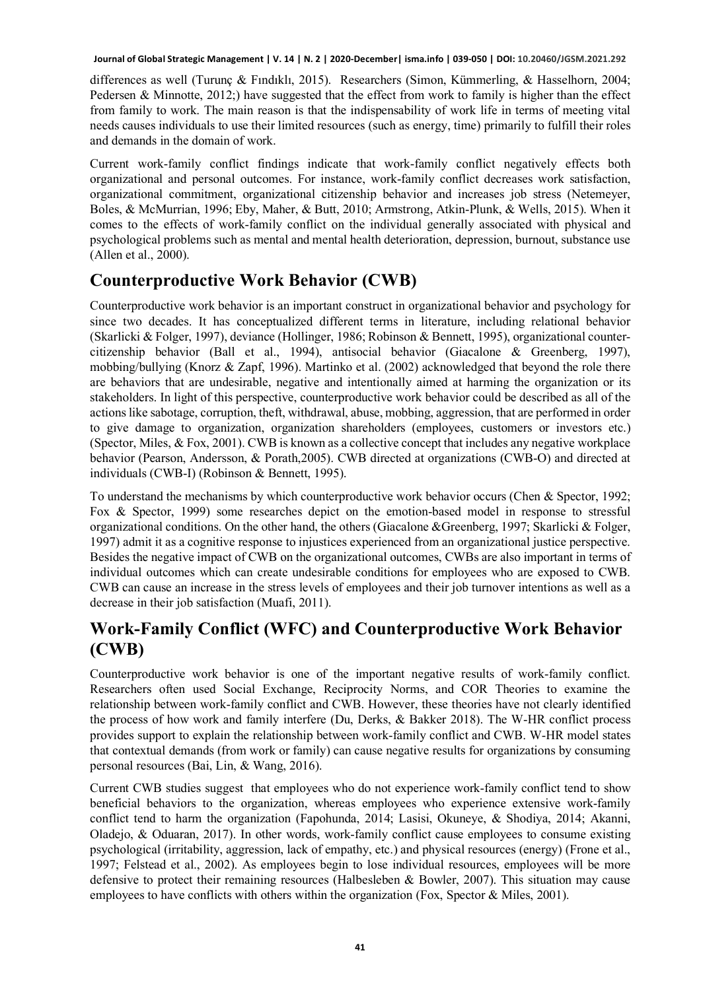differences as well (Turunç & Fındıklı, 2015). Researchers (Simon, Kümmerling, & Hasselhorn, 2004; Pedersen & Minnotte, 2012;) have suggested that the effect from work to family is higher than the effect from family to work. The main reason is that the indispensability of work life in terms of meeting vital needs causes individuals to use their limited resources (such as energy, time) primarily to fulfill their roles and demands in the domain of work.

Current work-family conflict findings indicate that work-family conflict negatively effects both organizational and personal outcomes. For instance, work-family conflict decreases work satisfaction, organizational commitment, organizational citizenship behavior and increases job stress (Netemeyer, Boles, & McMurrian, 1996; Eby, Maher, & Butt, 2010; Armstrong, Atkin-Plunk, & Wells, 2015). When it comes to the effects of work-family conflict on the individual generally associated with physical and psychological problems such as mental and mental health deterioration, depression, burnout, substance use (Allen et al., 2000).

#### **Counterproductive Work Behavior (CWB)**

Counterproductive work behavior is an important construct in organizational behavior and psychology for since two decades. It has conceptualized different terms in literature, including relational behavior (Skarlicki & Folger, 1997), deviance (Hollinger, 1986; Robinson & Bennett, 1995), organizational countercitizenship behavior (Ball et al., 1994), antisocial behavior (Giacalone & Greenberg, 1997), mobbing/bullying (Knorz & Zapf, 1996). Martinko et al. (2002) acknowledged that beyond the role there are behaviors that are undesirable, negative and intentionally aimed at harming the organization or its stakeholders. In light of this perspective, counterproductive work behavior could be described as all of the actions like sabotage, corruption, theft, withdrawal, abuse, mobbing, aggression, that are performed in order to give damage to organization, organization shareholders (employees, customers or investors etc.) (Spector, Miles, & Fox, 2001). CWB is known as a collective concept that includes any negative workplace behavior (Pearson, Andersson, & Porath,2005). CWB directed at organizations (CWB-O) and directed at individuals (CWB-I) (Robinson & Bennett, 1995).

To understand the mechanisms by which counterproductive work behavior occurs (Chen & Spector, 1992; Fox & Spector, 1999) some researches depict on the emotion-based model in response to stressful organizational conditions. On the other hand, the others (Giacalone &Greenberg, 1997; Skarlicki & Folger, 1997) admit it as a cognitive response to injustices experienced from an organizational justice perspective. Besides the negative impact of CWB on the organizational outcomes, CWBs are also important in terms of individual outcomes which can create undesirable conditions for employees who are exposed to CWB. CWB can cause an increase in the stress levels of employees and their job turnover intentions as well as a decrease in their job satisfaction (Muafi, 2011).

#### **Work-Family Conflict (WFC) and Counterproductive Work Behavior (CWB)**

Counterproductive work behavior is one of the important negative results of work-family conflict. Researchers often used Social Exchange, Reciprocity Norms, and COR Theories to examine the relationship between work-family conflict and CWB. However, these theories have not clearly identified the process of how work and family interfere (Du, Derks, & Bakker 2018). The W-HR conflict process provides support to explain the relationship between work-family conflict and CWB. W-HR model states that contextual demands (from work or family) can cause negative results for organizations by consuming personal resources (Bai, Lin, & Wang, 2016).

Current CWB studies suggest that employees who do not experience work-family conflict tend to show beneficial behaviors to the organization, whereas employees who experience extensive work-family conflict tend to harm the organization (Fapohunda, 2014; Lasisi, Okuneye, & Shodiya, 2014; Akanni, Oladejo, & Oduaran, 2017). In other words, work-family conflict cause employees to consume existing psychological (irritability, aggression, lack of empathy, etc.) and physical resources (energy) (Frone et al., 1997; Felstead et al., 2002). As employees begin to lose individual resources, employees will be more defensive to protect their remaining resources (Halbesleben & Bowler, 2007). This situation may cause employees to have conflicts with others within the organization (Fox, Spector & Miles, 2001).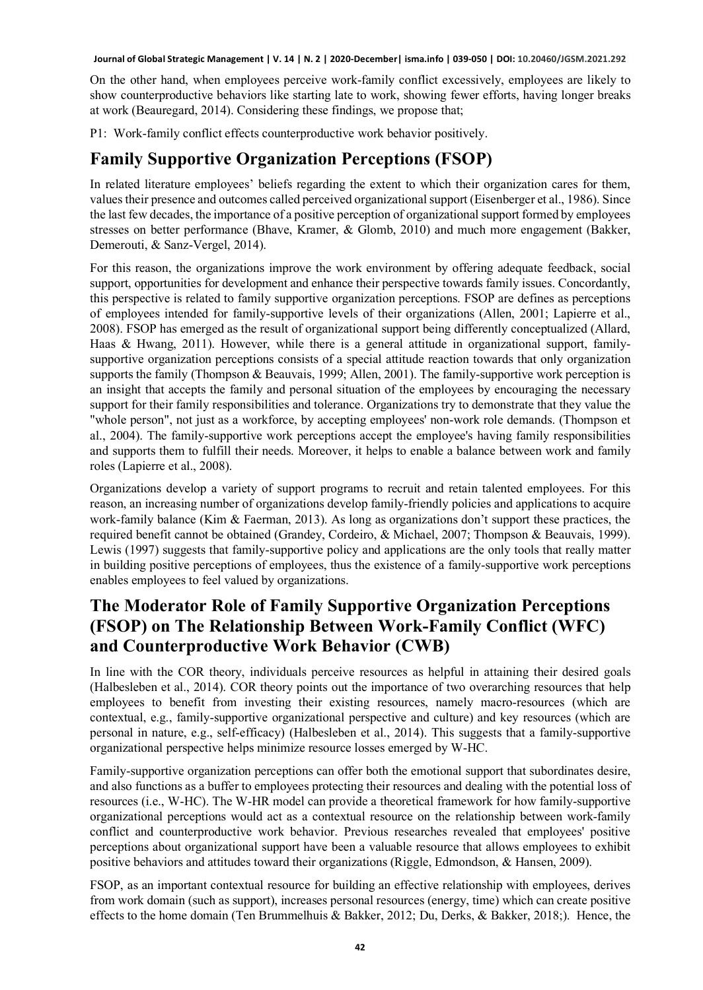On the other hand, when employees perceive work-family conflict excessively, employees are likely to show counterproductive behaviors like starting late to work, showing fewer efforts, having longer breaks at work (Beauregard, 2014). Considering these findings, we propose that;

P1: Work-family conflict effects counterproductive work behavior positively.

## **Family Supportive Organization Perceptions (FSOP)**

In related literature employees' beliefs regarding the extent to which their organization cares for them, values their presence and outcomes called perceived organizational support (Eisenberger et al., 1986). Since the last few decades, the importance of a positive perception of organizational support formed by employees stresses on better performance (Bhave, Kramer, & Glomb, 2010) and much more engagement (Bakker, Demerouti, & Sanz-Vergel, 2014).

For this reason, the organizations improve the work environment by offering adequate feedback, social support, opportunities for development and enhance their perspective towards family issues. Concordantly, this perspective is related to family supportive organization perceptions. FSOP are defines as perceptions of employees intended for family-supportive levels of their organizations (Allen, 2001; Lapierre et al., 2008). FSOP has emerged as the result of organizational support being differently conceptualized (Allard, Haas & Hwang, 2011). However, while there is a general attitude in organizational support, familysupportive organization perceptions consists of a special attitude reaction towards that only organization supports the family (Thompson & Beauvais, 1999; Allen, 2001). The family-supportive work perception is an insight that accepts the family and personal situation of the employees by encouraging the necessary support for their family responsibilities and tolerance. Organizations try to demonstrate that they value the "whole person", not just as a workforce, by accepting employees' non-work role demands. (Thompson et al., 2004). The family-supportive work perceptions accept the employee's having family responsibilities and supports them to fulfill their needs. Moreover, it helps to enable a balance between work and family roles (Lapierre et al., 2008).

Organizations develop a variety of support programs to recruit and retain talented employees. For this reason, an increasing number of organizations develop family-friendly policies and applications to acquire work-family balance (Kim & Faerman, 2013). As long as organizations don't support these practices, the required benefit cannot be obtained (Grandey, Cordeiro, & Michael, 2007; Thompson & Beauvais, 1999). Lewis (1997) suggests that family-supportive policy and applications are the only tools that really matter in building positive perceptions of employees, thus the existence of a family-supportive work perceptions enables employees to feel valued by organizations.

## **The Moderator Role of Family Supportive Organization Perceptions (FSOP) on The Relationship Between Work-Family Conflict (WFC) and Counterproductive Work Behavior (CWB)**

In line with the COR theory, individuals perceive resources as helpful in attaining their desired goals (Halbesleben et al., 2014). COR theory points out the importance of two overarching resources that help employees to benefit from investing their existing resources, namely macro-resources (which are contextual, e.g., family-supportive organizational perspective and culture) and key resources (which are personal in nature, e.g., self-efficacy) (Halbesleben et al., 2014). This suggests that a family-supportive organizational perspective helps minimize resource losses emerged by W-HC.

Family-supportive organization perceptions can offer both the emotional support that subordinates desire, and also functions as a buffer to employees protecting their resources and dealing with the potential loss of resources (i.e., W-HC). The W-HR model can provide a theoretical framework for how family-supportive organizational perceptions would act as a contextual resource on the relationship between work-family conflict and counterproductive work behavior. Previous researches revealed that employees' positive perceptions about organizational support have been a valuable resource that allows employees to exhibit positive behaviors and attitudes toward their organizations (Riggle, Edmondson, & Hansen, 2009).

FSOP, as an important contextual resource for building an effective relationship with employees, derives from work domain (such as support), increases personal resources (energy, time) which can create positive effects to the home domain (Ten Brummelhuis & Bakker, 2012; Du, Derks, & Bakker, 2018;). Hence, the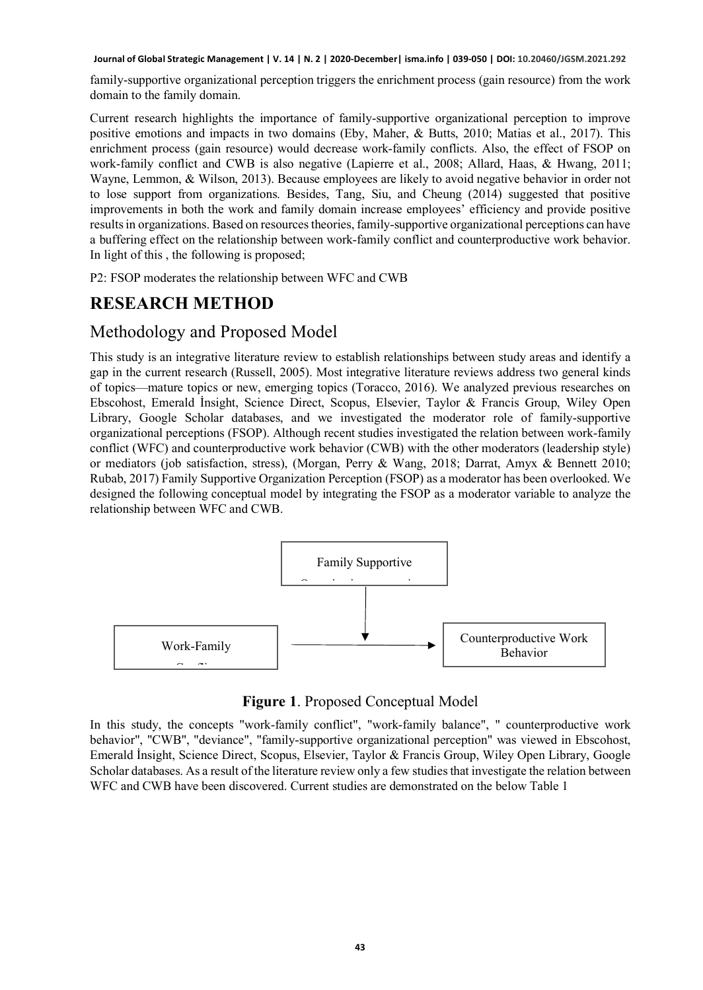family-supportive organizational perception triggers the enrichment process (gain resource) from the work domain to the family domain.

Current research highlights the importance of family-supportive organizational perception to improve positive emotions and impacts in two domains (Eby, Maher, & Butts, 2010; Matias et al., 2017). This enrichment process (gain resource) would decrease work-family conflicts. Also, the effect of FSOP on work-family conflict and CWB is also negative (Lapierre et al., 2008; Allard, Haas, & Hwang, 2011; Wayne, Lemmon, & Wilson, 2013). Because employees are likely to avoid negative behavior in order not to lose support from organizations. Besides, Tang, Siu, and Cheung (2014) suggested that positive improvements in both the work and family domain increase employees' efficiency and provide positive results in organizations. Based on resources theories, family-supportive organizational perceptions can have a buffering effect on the relationship between work-family conflict and counterproductive work behavior. In light of this , the following is proposed;

P2: FSOP moderates the relationship between WFC and CWB

#### **RESEARCH METHOD**

#### Methodology and Proposed Model

This study is an integrative literature review to establish relationships between study areas and identify a gap in the current research (Russell, 2005). Most integrative literature reviews address two general kinds of topics—mature topics or new, emerging topics (Toracco, 2016). We analyzed previous researches on Ebscohost, Emerald İnsight, Science Direct, Scopus, Elsevier, Taylor & Francis Group, Wiley Open Library, Google Scholar databases, and we investigated the moderator role of family-supportive organizational perceptions (FSOP). Although recent studies investigated the relation between work-family conflict (WFC) and counterproductive work behavior (CWB) with the other moderators (leadership style) or mediators (job satisfaction, stress), (Morgan, Perry & Wang, 2018; Darrat, Amyx & Bennett 2010; Rubab, 2017) Family Supportive Organization Perception (FSOP) as a moderator has been overlooked. We designed the following conceptual model by integrating the FSOP as a moderator variable to analyze the relationship between WFC and CWB.



**Figure 1**. Proposed Conceptual Model

In this study, the concepts "work-family conflict", "work-family balance", " counterproductive work behavior", "CWB", "deviance", "family-supportive organizational perception" was viewed in Ebscohost, Emerald İnsight, Science Direct, Scopus, Elsevier, Taylor & Francis Group, Wiley Open Library, Google Scholar databases. As a result of the literature review only a few studies that investigate the relation between WFC and CWB have been discovered. Current studies are demonstrated on the below Table 1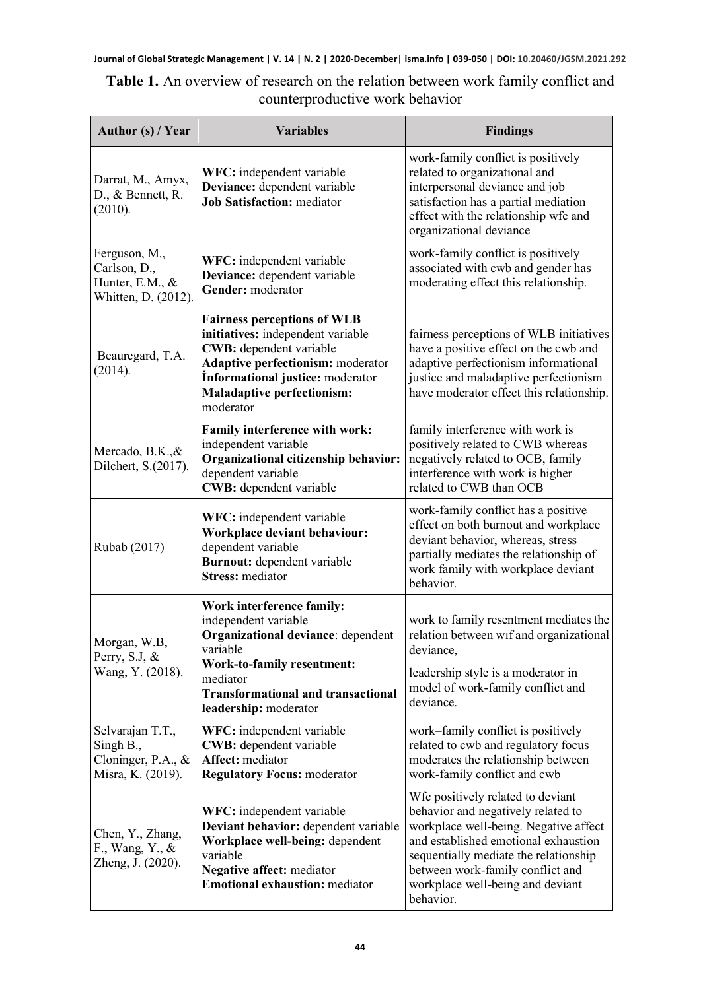| <b>Table 1.</b> An overview of research on the relation between work family conflict and |                                 |  |  |  |
|------------------------------------------------------------------------------------------|---------------------------------|--|--|--|
|                                                                                          | counterproductive work behavior |  |  |  |

| Author (s) / Year                                                        | <b>Variables</b>                                                                                                                                                                                                              | <b>Findings</b>                                                                                                                                                                                                                                                                        |  |  |  |
|--------------------------------------------------------------------------|-------------------------------------------------------------------------------------------------------------------------------------------------------------------------------------------------------------------------------|----------------------------------------------------------------------------------------------------------------------------------------------------------------------------------------------------------------------------------------------------------------------------------------|--|--|--|
| Darrat, M., Amyx,<br>D., & Bennett, R.<br>(2010).                        | WFC: independent variable<br>Deviance: dependent variable<br><b>Job Satisfaction: mediator</b>                                                                                                                                | work-family conflict is positively<br>related to organizational and<br>interpersonal deviance and job<br>satisfaction has a partial mediation<br>effect with the relationship wfc and<br>organizational deviance                                                                       |  |  |  |
| Ferguson, M.,<br>Carlson, D.,<br>Hunter, E.M., &<br>Whitten, D. (2012).  | WFC: independent variable<br>Deviance: dependent variable<br>Gender: moderator                                                                                                                                                | work-family conflict is positively<br>associated with cwb and gender has<br>moderating effect this relationship.                                                                                                                                                                       |  |  |  |
| Beauregard, T.A.<br>(2014).                                              | <b>Fairness perceptions of WLB</b><br>initiatives: independent variable<br>CWB: dependent variable<br>Adaptive perfectionism: moderator<br>Informational justice: moderator<br><b>Maladaptive perfectionism:</b><br>moderator | fairness perceptions of WLB initiatives<br>have a positive effect on the cwb and<br>adaptive perfectionism informational<br>justice and maladaptive perfectionism<br>have moderator effect this relationship.                                                                          |  |  |  |
| Mercado, B.K., &<br>Dilchert, S.(2017).                                  | Family interference with work:<br>independent variable<br>Organizational citizenship behavior:<br>dependent variable<br>CWB: dependent variable                                                                               | family interference with work is<br>positively related to CWB whereas<br>negatively related to OCB, family<br>interference with work is higher<br>related to CWB than OCB                                                                                                              |  |  |  |
| Rubab (2017)                                                             | WFC: independent variable<br>Workplace deviant behaviour:<br>dependent variable<br>Burnout: dependent variable<br><b>Stress:</b> mediator                                                                                     | work-family conflict has a positive<br>effect on both burnout and workplace<br>deviant behavior, whereas, stress<br>partially mediates the relationship of<br>work family with workplace deviant<br>behavior.                                                                          |  |  |  |
| Morgan, W.B,<br>Perry, S.J, &<br>Wang, Y. (2018).                        | Work interference family:<br>independent variable<br>Organizational deviance: dependent<br>variable<br>Work-to-family resentment:<br>mediator<br><b>Transformational and transactional</b><br>leadership: moderator           | work to family resentment mediates the<br>relation between wif and organizational<br>deviance,<br>leadership style is a moderator in<br>model of work-family conflict and<br>deviance.                                                                                                 |  |  |  |
| Selvarajan T.T.,<br>Singh B.,<br>Cloninger, P.A., &<br>Misra, K. (2019). | WFC: independent variable<br>CWB: dependent variable<br>Affect: mediator<br><b>Regulatory Focus: moderator</b>                                                                                                                | work-family conflict is positively<br>related to cwb and regulatory focus<br>moderates the relationship between<br>work-family conflict and cwb                                                                                                                                        |  |  |  |
| Chen, Y., Zhang,<br>F., Wang, Y., &<br>Zheng, J. (2020).                 | WFC: independent variable<br>Deviant behavior: dependent variable<br>Workplace well-being: dependent<br>variable<br>Negative affect: mediator<br><b>Emotional exhaustion:</b> mediator                                        | Wfc positively related to deviant<br>behavior and negatively related to<br>workplace well-being. Negative affect<br>and established emotional exhaustion<br>sequentially mediate the relationship<br>between work-family conflict and<br>workplace well-being and deviant<br>behavior. |  |  |  |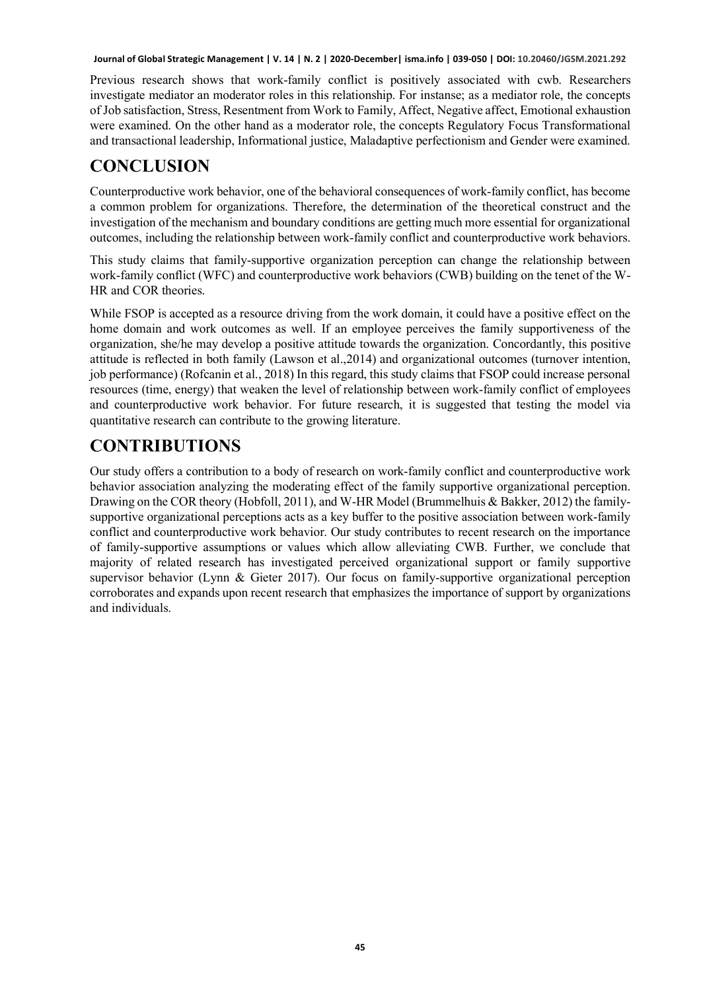Previous research shows that work-family conflict is positively associated with cwb. Researchers investigate mediator an moderator roles in this relationship. For instanse; as a mediator role, the concepts of Job satisfaction, Stress, Resentment from Work to Family, Affect, Negative affect, Emotional exhaustion were examined. On the other hand as a moderator role, the concepts Regulatory Focus Transformational and transactional leadership, Informational justice, Maladaptive perfectionism and Gender were examined.

### **CONCLUSION**

Counterproductive work behavior, one of the behavioral consequences of work-family conflict, has become a common problem for organizations. Therefore, the determination of the theoretical construct and the investigation of the mechanism and boundary conditions are getting much more essential for organizational outcomes, including the relationship between work-family conflict and counterproductive work behaviors.

This study claims that family-supportive organization perception can change the relationship between work-family conflict (WFC) and counterproductive work behaviors (CWB) building on the tenet of the W-HR and COR theories.

While FSOP is accepted as a resource driving from the work domain, it could have a positive effect on the home domain and work outcomes as well. If an employee perceives the family supportiveness of the organization, she/he may develop a positive attitude towards the organization. Concordantly, this positive attitude is reflected in both family (Lawson et al.,2014) and organizational outcomes (turnover intention, job performance) (Rofcanin et al., 2018) In this regard, this study claims that FSOP could increase personal resources (time, energy) that weaken the level of relationship between work-family conflict of employees and counterproductive work behavior. For future research, it is suggested that testing the model via quantitative research can contribute to the growing literature.

## **CONTRIBUTIONS**

Our study offers a contribution to a body of research on work-family conflict and counterproductive work behavior association analyzing the moderating effect of the family supportive organizational perception. Drawing on the COR theory (Hobfoll, 2011), and W-HR Model (Brummelhuis & Bakker, 2012) the familysupportive organizational perceptions acts as a key buffer to the positive association between work-family conflict and counterproductive work behavior. Our study contributes to recent research on the importance of family-supportive assumptions or values which allow alleviating CWB. Further, we conclude that majority of related research has investigated perceived organizational support or family supportive supervisor behavior (Lynn & Gieter 2017). Our focus on family-supportive organizational perception corroborates and expands upon recent research that emphasizes the importance of support by organizations and individuals.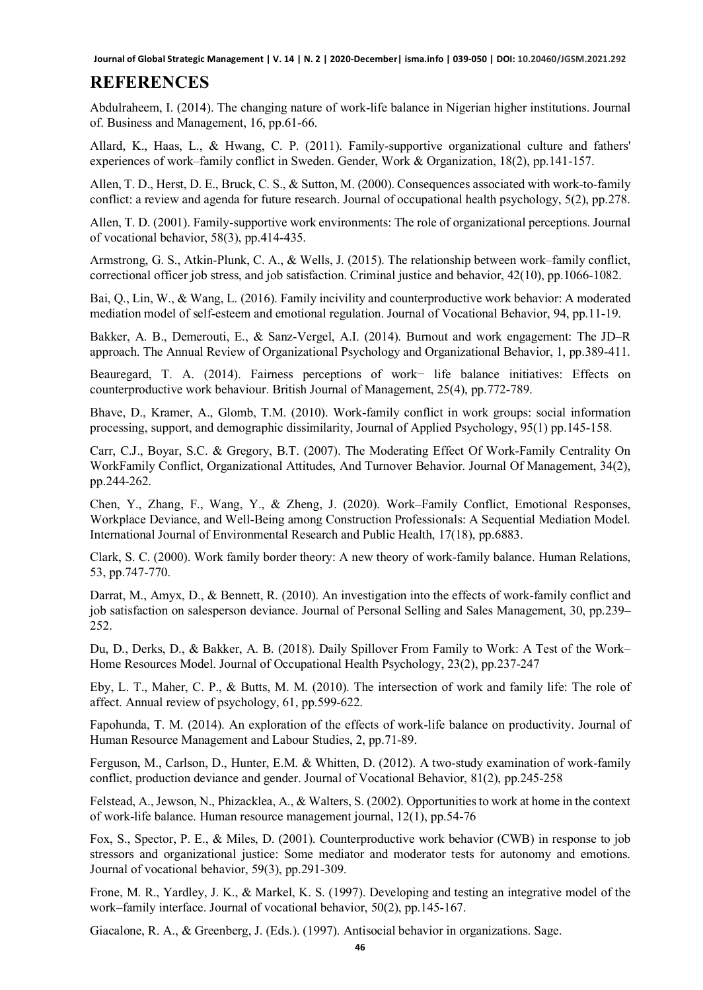#### **REFERENCES**

Abdulraheem, I. (2014). The changing nature of work-life balance in Nigerian higher institutions. Journal of. Business and Management, 16, pp.61-66.

Allard, K., Haas, L., & Hwang, C. P. (2011). Family‐supportive organizational culture and fathers' experiences of work–family conflict in Sweden. Gender, Work & Organization, 18(2), pp.141-157.

Allen, T. D., Herst, D. E., Bruck, C. S., & Sutton, M. (2000). Consequences associated with work-to-family conflict: a review and agenda for future research. Journal of occupational health psychology, 5(2), pp.278.

Allen, T. D. (2001). Family-supportive work environments: The role of organizational perceptions. Journal of vocational behavior, 58(3), pp.414-435.

Armstrong, G. S., Atkin-Plunk, C. A., & Wells, J. (2015). The relationship between work–family conflict, correctional officer job stress, and job satisfaction. Criminal justice and behavior, 42(10), pp.1066-1082.

Bai, Q., Lin, W., & Wang, L. (2016). Family incivility and counterproductive work behavior: A moderated mediation model of self-esteem and emotional regulation. Journal of Vocational Behavior, 94, pp.11-19.

Bakker, A. B., Demerouti, E., & Sanz-Vergel, A.I. (2014). Burnout and work engagement: The JD–R approach. The Annual Review of Organizational Psychology and Organizational Behavior, 1, pp.389-411.

Beauregard, T. A. (2014). Fairness perceptions of work− life balance initiatives: Effects on counterproductive work behaviour. British Journal of Management, 25(4), pp.772-789.

Bhave, D., Kramer, A., Glomb, T.M. (2010). Work-family conflict in work groups: social information processing, support, and demographic dissimilarity, Journal of Applied Psychology, 95(1) pp.145-158.

Carr, C.J., Boyar, S.C. & Gregory, B.T. (2007). The Moderating Effect Of Work-Family Centrality On WorkFamily Conflict, Organizational Attitudes, And Turnover Behavior. Journal Of Management, 34(2), pp.244-262.

Chen, Y., Zhang, F., Wang, Y., & Zheng, J. (2020). Work–Family Conflict, Emotional Responses, Workplace Deviance, and Well-Being among Construction Professionals: A Sequential Mediation Model. International Journal of Environmental Research and Public Health, 17(18), pp.6883.

Clark, S. C. (2000). Work family border theory: A new theory of work-family balance. Human Relations, 53, pp.747-770.

Darrat, M., Amyx, D., & Bennett, R. (2010). An investigation into the effects of work-family conflict and job satisfaction on salesperson deviance. Journal of Personal Selling and Sales Management, 30, pp.239– 252.

Du, D., Derks, D., & Bakker, A. B. (2018). Daily Spillover From Family to Work: A Test of the Work– Home Resources Model. Journal of Occupational Health Psychology, 23(2), pp.237-247

Eby, L. T., Maher, C. P., & Butts, M. M. (2010). The intersection of work and family life: The role of affect. Annual review of psychology, 61, pp.599-622.

Fapohunda, T. M. (2014). An exploration of the effects of work-life balance on productivity. Journal of Human Resource Management and Labour Studies, 2, pp.71-89.

Ferguson, M., Carlson, D., Hunter, E.M. & Whitten, D. (2012). A two-study examination of work-family conflict, production deviance and gender. Journal of Vocational Behavior, 81(2), pp.245-258

Felstead, A., Jewson, N., Phizacklea, A., & Walters, S. (2002). Opportunities to work at home in the context of work‐life balance. Human resource management journal, 12(1), pp.54-76

Fox, S., Spector, P. E., & Miles, D. (2001). Counterproductive work behavior (CWB) in response to job stressors and organizational justice: Some mediator and moderator tests for autonomy and emotions. Journal of vocational behavior, 59(3), pp.291-309.

Frone, M. R., Yardley, J. K., & Markel, K. S. (1997). Developing and testing an integrative model of the work–family interface. Journal of vocational behavior, 50(2), pp.145-167.

Giacalone, R. A., & Greenberg, J. (Eds.). (1997). Antisocial behavior in organizations. Sage.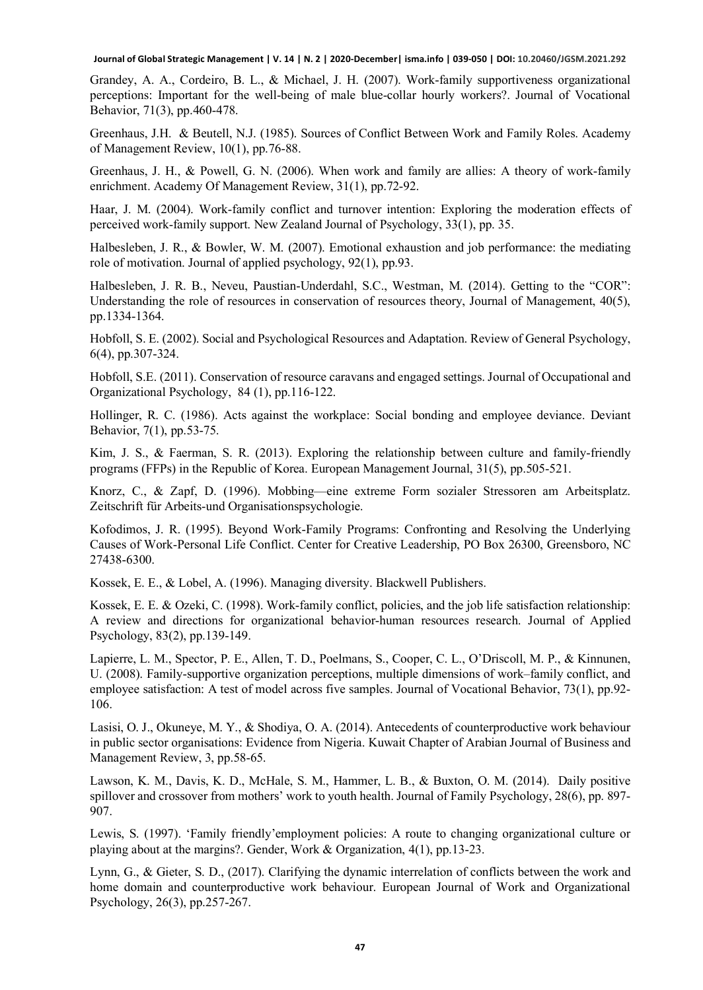Grandey, A. A., Cordeiro, B. L., & Michael, J. H. (2007). Work-family supportiveness organizational perceptions: Important for the well-being of male blue-collar hourly workers?. Journal of Vocational Behavior, 71(3), pp.460-478.

Greenhaus, J.H. & Beutell, N.J. (1985). Sources of Conflict Between Work and Family Roles. Academy of Management Review, 10(1), pp.76-88.

Greenhaus, J. H., & Powell, G. N. (2006). When work and family are allies: A theory of work-family enrichment. Academy Of Management Review, 31(1), pp.72-92.

Haar, J. M. (2004). Work-family conflict and turnover intention: Exploring the moderation effects of perceived work-family support. New Zealand Journal of Psychology, 33(1), pp. 35.

Halbesleben, J. R., & Bowler, W. M. (2007). Emotional exhaustion and job performance: the mediating role of motivation. Journal of applied psychology, 92(1), pp.93.

Halbesleben, J. R. B., Neveu, Paustian-Underdahl, S.C., Westman, M. (2014). Getting to the "COR": Understanding the role of resources in conservation of resources theory, Journal of Management, 40(5), pp.1334-1364.

Hobfoll, S. E. (2002). Social and Psychological Resources and Adaptation. Review of General Psychology, 6(4), pp.307-324.

Hobfoll, S.E. (2011). Conservation of resource caravans and engaged settings. Journal of Occupational and Organizational Psychology, 84 (1), pp.116-122.

Hollinger, R. C. (1986). Acts against the workplace: Social bonding and employee deviance. Deviant Behavior, 7(1), pp.53-75.

Kim, J. S., & Faerman, S. R. (2013). Exploring the relationship between culture and family-friendly programs (FFPs) in the Republic of Korea. European Management Journal, 31(5), pp.505-521.

Knorz, C., & Zapf, D. (1996). Mobbing—eine extreme Form sozialer Stressoren am Arbeitsplatz. Zeitschrift für Arbeits-und Organisationspsychologie.

Kofodimos, J. R. (1995). Beyond Work-Family Programs: Confronting and Resolving the Underlying Causes of Work-Personal Life Conflict. Center for Creative Leadership, PO Box 26300, Greensboro, NC 27438-6300.

Kossek, E. E., & Lobel, A. (1996). Managing diversity. Blackwell Publishers.

Kossek, E. E. & Ozeki, C. (1998). Work-family conflict, policies, and the job life satisfaction relationship: A review and directions for organizational behavior-human resources research. Journal of Applied Psychology, 83(2), pp.139-149.

Lapierre, L. M., Spector, P. E., Allen, T. D., Poelmans, S., Cooper, C. L., O'Driscoll, M. P., & Kinnunen, U. (2008). Family-supportive organization perceptions, multiple dimensions of work–family conflict, and employee satisfaction: A test of model across five samples. Journal of Vocational Behavior, 73(1), pp.92- 106.

Lasisi, O. J., Okuneye, M. Y., & Shodiya, O. A. (2014). Antecedents of counterproductive work behaviour in public sector organisations: Evidence from Nigeria. Kuwait Chapter of Arabian Journal of Business and Management Review, 3, pp.58-65.

Lawson, K. M., Davis, K. D., McHale, S. M., Hammer, L. B., & Buxton, O. M. (2014). Daily positive spillover and crossover from mothers' work to youth health. Journal of Family Psychology, 28(6), pp. 897- 907.

Lewis, S. (1997). 'Family friendly'employment policies: A route to changing organizational culture or playing about at the margins?. Gender, Work & Organization, 4(1), pp.13-23.

Lynn, G., & Gieter, S. D., (2017). Clarifying the dynamic interrelation of conflicts between the work and home domain and counterproductive work behaviour. European Journal of Work and Organizational Psychology, 26(3), pp.257-267.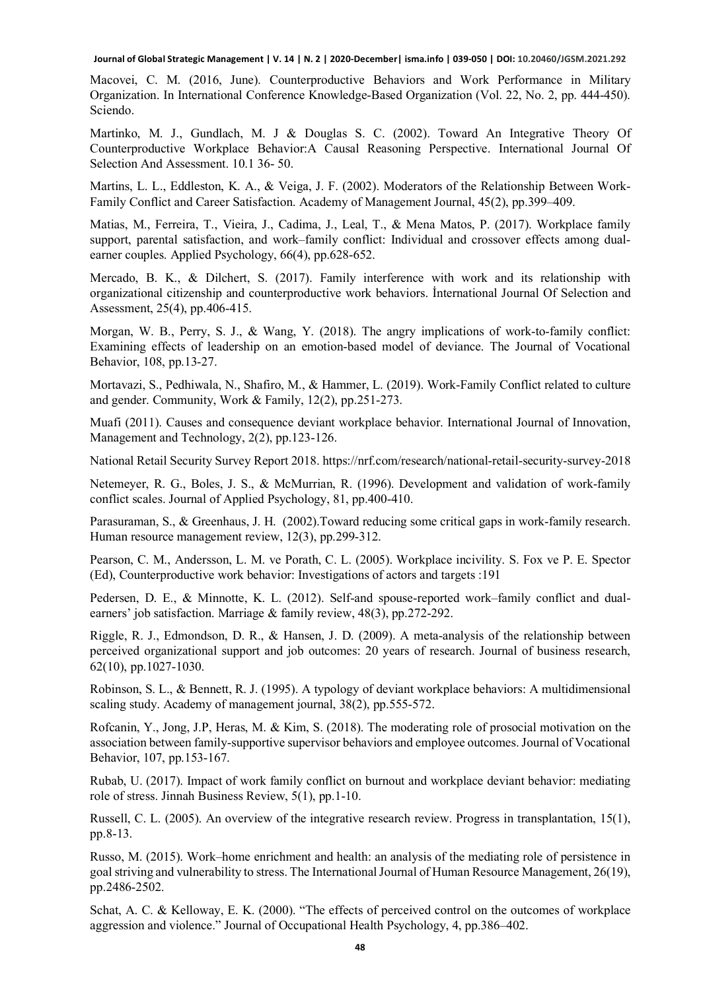Macovei, C. M. (2016, June). Counterproductive Behaviors and Work Performance in Military Organization. In International Conference Knowledge-Based Organization (Vol. 22, No. 2, pp. 444-450). Sciendo.

Martinko, M. J., Gundlach, M. J & Douglas S. C. (2002). Toward An Integrative Theory Of Counterproductive Workplace Behavior:A Causal Reasoning Perspective. International Journal Of Selection And Assessment. 10.1 36- 50.

Martins, L. L., Eddleston, K. A., & Veiga, J. F. (2002). Moderators of the Relationship Between Work-Family Conflict and Career Satisfaction. Academy of Management Journal, 45(2), pp.399–409.

Matias, M., Ferreira, T., Vieira, J., Cadima, J., Leal, T., & Mena Matos, P. (2017). Workplace family support, parental satisfaction, and work–family conflict: Individual and crossover effects among dualearner couples. Applied Psychology, 66(4), pp.628-652.

Mercado, B. K., & Dilchert, S. (2017). Family interference with work and its relationship with organizational citizenship and counterproductive work behaviors. İnternational Journal Of Selection and Assessment, 25(4), pp.406-415.

Morgan, W. B., Perry, S. J., & Wang, Y. (2018). The angry implications of work-to-family conflict: Examining effects of leadership on an emotion-based model of deviance. The Journal of Vocational Behavior, 108, pp.13-27.

Mortavazi, S., Pedhiwala, N., Shafiro, M., & Hammer, L. (2019). Work-Family Conflict related to culture and gender. Community, Work & Family, 12(2), pp.251-273.

Muafi (2011). Causes and consequence deviant workplace behavior. International Journal of Innovation, Management and Technology, 2(2), pp.123-126.

National Retail Security Survey Report 2018. https://nrf.com/research/national-retail-security-survey-2018

Netemeyer, R. G., Boles, J. S., & McMurrian, R. (1996). Development and validation of work-family conflict scales. Journal of Applied Psychology, 81, pp.400-410.

Parasuraman, S., & Greenhaus, J. H. (2002).Toward reducing some critical gaps in work-family research. Human resource management review, 12(3), pp.299-312.

Pearson, C. M., Andersson, L. M. ve Porath, C. L. (2005). Workplace incivility. S. Fox ve P. E. Spector (Ed), Counterproductive work behavior: Investigations of actors and targets :191

Pedersen, D. E., & Minnotte, K. L. (2012). Self-and spouse-reported work–family conflict and dualearners' job satisfaction. Marriage & family review, 48(3), pp.272-292.

Riggle, R. J., Edmondson, D. R., & Hansen, J. D. (2009). A meta-analysis of the relationship between perceived organizational support and job outcomes: 20 years of research. Journal of business research, 62(10), pp.1027-1030.

Robinson, S. L., & Bennett, R. J. (1995). A typology of deviant workplace behaviors: A multidimensional scaling study. Academy of management journal, 38(2), pp.555-572.

Rofcanin, Y., Jong, J.P, Heras, M. & Kim, S. (2018). The moderating role of prosocial motivation on the association between family-supportive supervisor behaviors and employee outcomes. Journal of Vocational Behavior, 107, pp.153-167.

Rubab, U. (2017). Impact of work family conflict on burnout and workplace deviant behavior: mediating role of stress. Jinnah Business Review, 5(1), pp.1-10.

Russell, C. L. (2005). An overview of the integrative research review. Progress in transplantation, 15(1), pp.8-13.

Russo, M. (2015). Work–home enrichment and health: an analysis of the mediating role of persistence in goal striving and vulnerability to stress. The International Journal of Human Resource Management, 26(19), pp.2486-2502.

Schat, A. C. & Kelloway, E. K. (2000). "The effects of perceived control on the outcomes of workplace aggression and violence." Journal of Occupational Health Psychology, 4, pp.386–402.